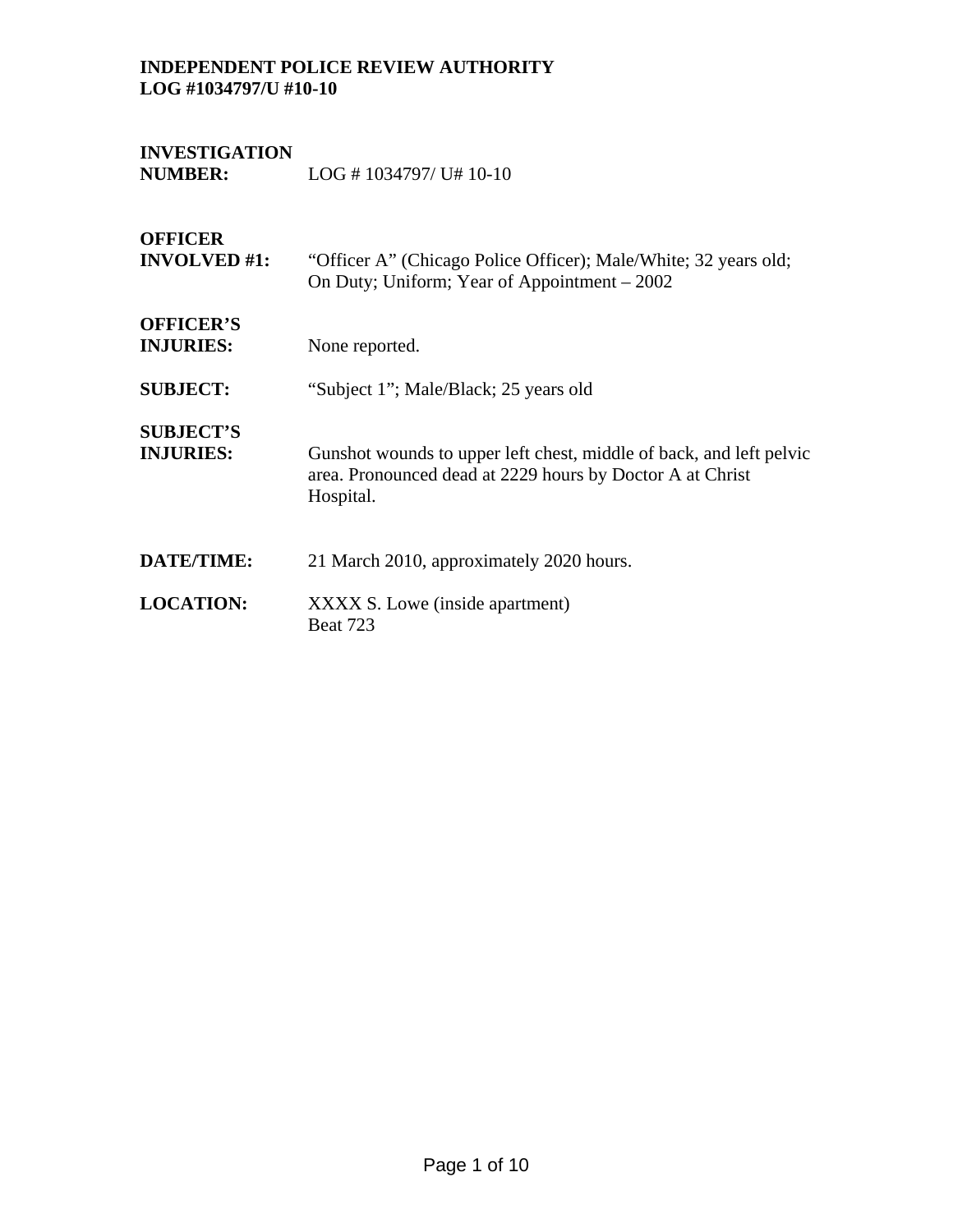# **INVESTIGATION NUMBER:** LOG # 1034797/ U# 10-10

**OFFICER** 

**INVOLVED #1:** "Officer A" (Chicago Police Officer); Male/White; 32 years old; On Duty; Uniform; Year of Appointment – 2002

**OFFICER'S INJURIES:** None reported.

**SUBJECT:** "Subject 1"; Male/Black; 25 years old

**SUBJECT'S INJURIES:** Gunshot wounds to upper left chest, middle of back, and left pelvic area. Pronounced dead at 2229 hours by Doctor A at Christ Hospital.

- **DATE/TIME:** 21 March 2010, approximately 2020 hours.
- **LOCATION:** XXXX S. Lowe (inside apartment) Beat 723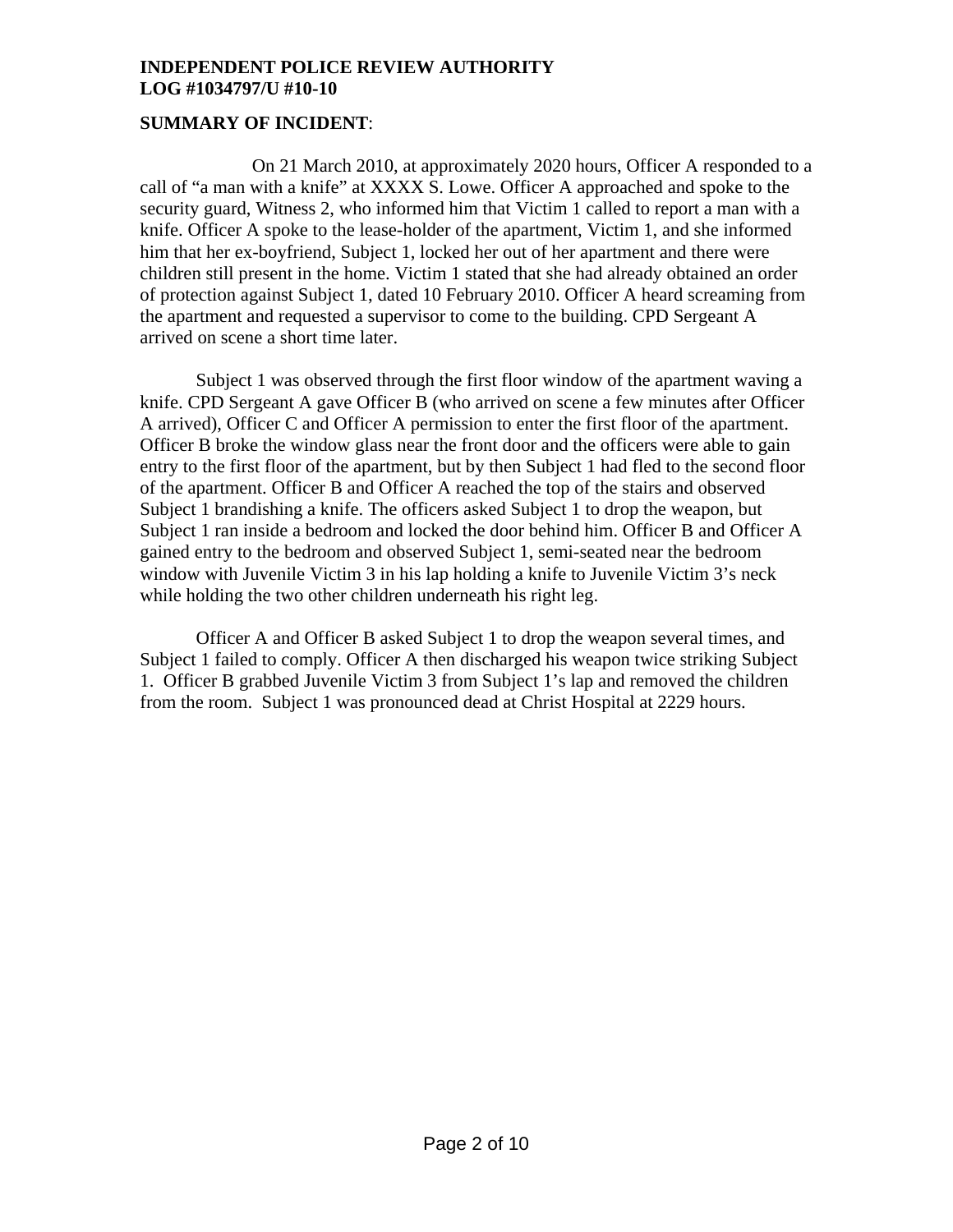# **SUMMARY OF INCIDENT**:

 On 21 March 2010, at approximately 2020 hours, Officer A responded to a call of "a man with a knife" at XXXX S. Lowe. Officer A approached and spoke to the security guard, Witness 2, who informed him that Victim 1 called to report a man with a knife. Officer A spoke to the lease-holder of the apartment, Victim 1, and she informed him that her ex-boyfriend, Subject 1, locked her out of her apartment and there were children still present in the home. Victim 1 stated that she had already obtained an order of protection against Subject 1, dated 10 February 2010. Officer A heard screaming from the apartment and requested a supervisor to come to the building. CPD Sergeant A arrived on scene a short time later.

 Subject 1 was observed through the first floor window of the apartment waving a knife. CPD Sergeant A gave Officer B (who arrived on scene a few minutes after Officer A arrived), Officer C and Officer A permission to enter the first floor of the apartment. Officer B broke the window glass near the front door and the officers were able to gain entry to the first floor of the apartment, but by then Subject 1 had fled to the second floor of the apartment. Officer B and Officer A reached the top of the stairs and observed Subject 1 brandishing a knife. The officers asked Subject 1 to drop the weapon, but Subject 1 ran inside a bedroom and locked the door behind him. Officer B and Officer A gained entry to the bedroom and observed Subject 1, semi-seated near the bedroom window with Juvenile Victim 3 in his lap holding a knife to Juvenile Victim 3's neck while holding the two other children underneath his right leg.

 Officer A and Officer B asked Subject 1 to drop the weapon several times, and Subject 1 failed to comply. Officer A then discharged his weapon twice striking Subject 1. Officer B grabbed Juvenile Victim 3 from Subject 1's lap and removed the children from the room. Subject 1 was pronounced dead at Christ Hospital at 2229 hours.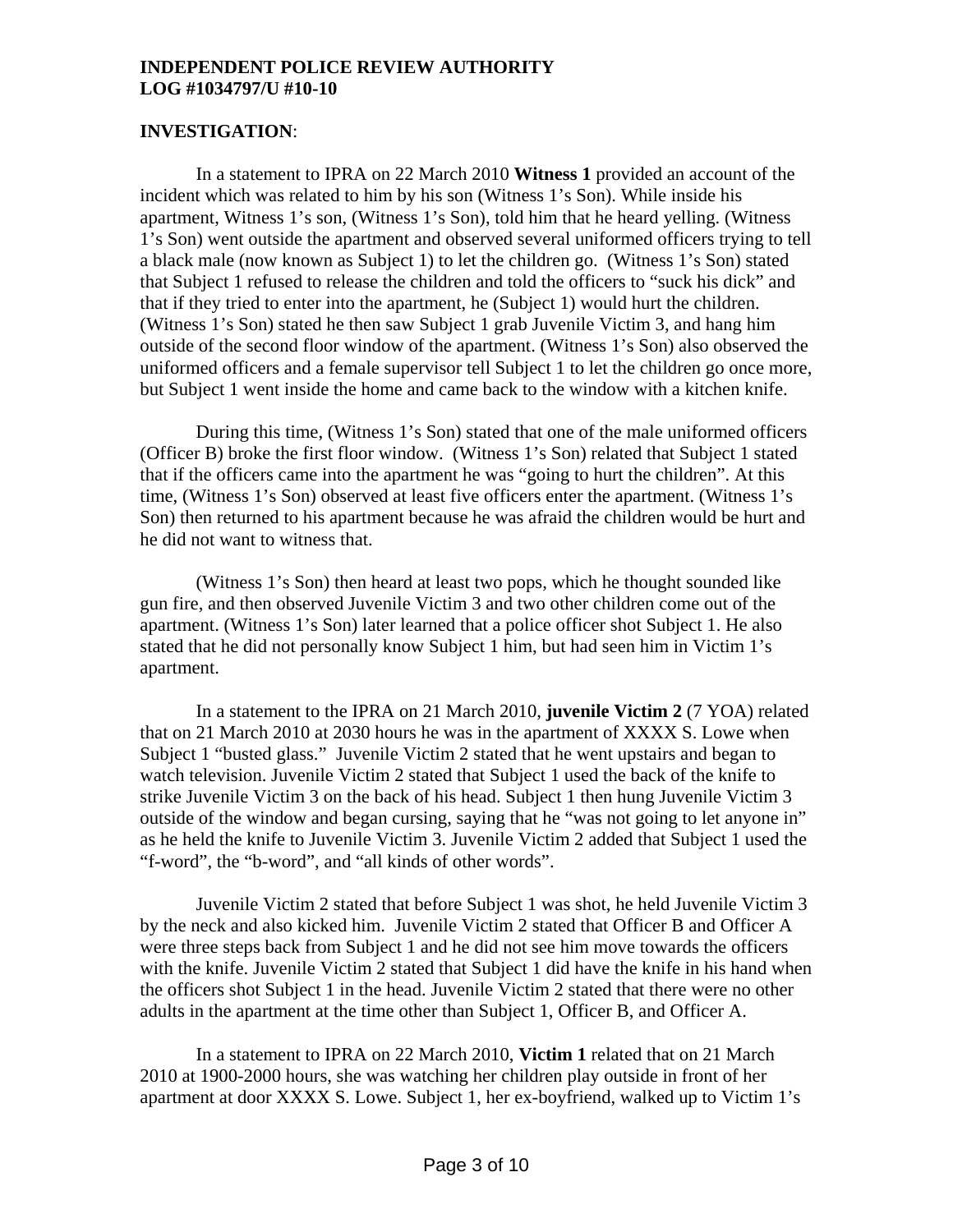#### **INVESTIGATION**:

In a statement to IPRA on 22 March 2010 **Witness 1** provided an account of the incident which was related to him by his son (Witness 1's Son). While inside his apartment, Witness 1's son, (Witness 1's Son), told him that he heard yelling. (Witness 1's Son) went outside the apartment and observed several uniformed officers trying to tell a black male (now known as Subject 1) to let the children go. (Witness 1's Son) stated that Subject 1 refused to release the children and told the officers to "suck his dick" and that if they tried to enter into the apartment, he (Subject 1) would hurt the children. (Witness 1's Son) stated he then saw Subject 1 grab Juvenile Victim 3, and hang him outside of the second floor window of the apartment. (Witness 1's Son) also observed the uniformed officers and a female supervisor tell Subject 1 to let the children go once more, but Subject 1 went inside the home and came back to the window with a kitchen knife.

During this time, (Witness 1's Son) stated that one of the male uniformed officers (Officer B) broke the first floor window. (Witness 1's Son) related that Subject 1 stated that if the officers came into the apartment he was "going to hurt the children". At this time, (Witness 1's Son) observed at least five officers enter the apartment. (Witness 1's Son) then returned to his apartment because he was afraid the children would be hurt and he did not want to witness that.

(Witness 1's Son) then heard at least two pops, which he thought sounded like gun fire, and then observed Juvenile Victim 3 and two other children come out of the apartment. (Witness 1's Son) later learned that a police officer shot Subject 1. He also stated that he did not personally know Subject 1 him, but had seen him in Victim 1's apartment.

 In a statement to the IPRA on 21 March 2010, **juvenile Victim 2** (7 YOA) related that on 21 March 2010 at 2030 hours he was in the apartment of XXXX S. Lowe when Subject 1 "busted glass." Juvenile Victim 2 stated that he went upstairs and began to watch television. Juvenile Victim 2 stated that Subject 1 used the back of the knife to strike Juvenile Victim 3 on the back of his head. Subject 1 then hung Juvenile Victim 3 outside of the window and began cursing, saying that he "was not going to let anyone in" as he held the knife to Juvenile Victim 3. Juvenile Victim 2 added that Subject 1 used the "f-word", the "b-word", and "all kinds of other words".

 Juvenile Victim 2 stated that before Subject 1 was shot, he held Juvenile Victim 3 by the neck and also kicked him. Juvenile Victim 2 stated that Officer B and Officer A were three steps back from Subject 1 and he did not see him move towards the officers with the knife. Juvenile Victim 2 stated that Subject 1 did have the knife in his hand when the officers shot Subject 1 in the head. Juvenile Victim 2 stated that there were no other adults in the apartment at the time other than Subject 1, Officer B, and Officer A.

 In a statement to IPRA on 22 March 2010, **Victim 1** related that on 21 March 2010 at 1900-2000 hours, she was watching her children play outside in front of her apartment at door XXXX S. Lowe. Subject 1, her ex-boyfriend, walked up to Victim 1's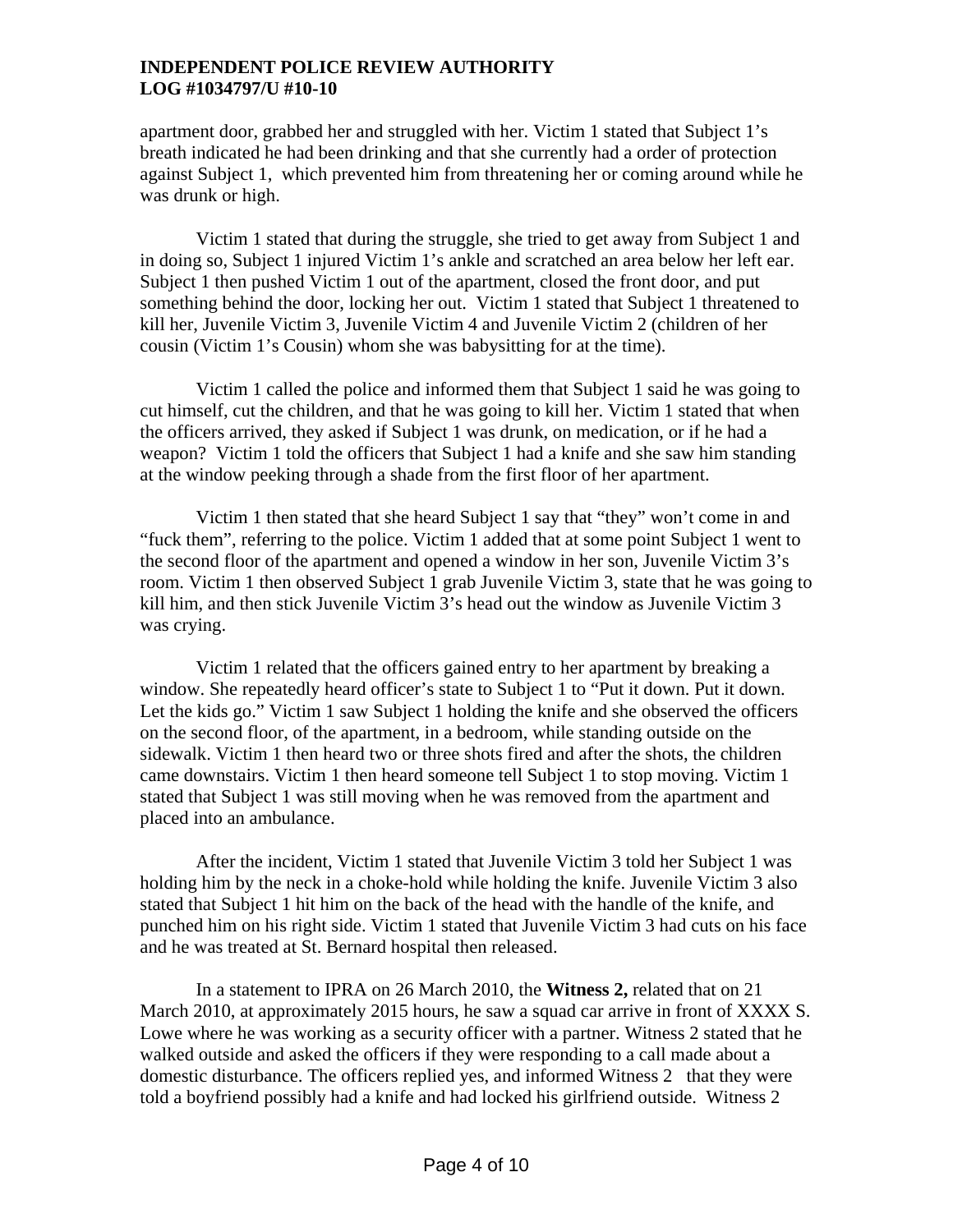apartment door, grabbed her and struggled with her. Victim 1 stated that Subject 1's breath indicated he had been drinking and that she currently had a order of protection against Subject 1, which prevented him from threatening her or coming around while he was drunk or high.

 Victim 1 stated that during the struggle, she tried to get away from Subject 1 and in doing so, Subject 1 injured Victim 1's ankle and scratched an area below her left ear. Subject 1 then pushed Victim 1 out of the apartment, closed the front door, and put something behind the door, locking her out. Victim 1 stated that Subject 1 threatened to kill her, Juvenile Victim 3, Juvenile Victim 4 and Juvenile Victim 2 (children of her cousin (Victim 1's Cousin) whom she was babysitting for at the time).

 Victim 1 called the police and informed them that Subject 1 said he was going to cut himself, cut the children, and that he was going to kill her. Victim 1 stated that when the officers arrived, they asked if Subject 1 was drunk, on medication, or if he had a weapon? Victim 1 told the officers that Subject 1 had a knife and she saw him standing at the window peeking through a shade from the first floor of her apartment.

 Victim 1 then stated that she heard Subject 1 say that "they" won't come in and "fuck them", referring to the police. Victim 1 added that at some point Subject 1 went to the second floor of the apartment and opened a window in her son, Juvenile Victim 3's room. Victim 1 then observed Subject 1 grab Juvenile Victim 3, state that he was going to kill him, and then stick Juvenile Victim 3's head out the window as Juvenile Victim 3 was crying.

 Victim 1 related that the officers gained entry to her apartment by breaking a window. She repeatedly heard officer's state to Subject 1 to "Put it down. Put it down. Let the kids go." Victim 1 saw Subject 1 holding the knife and she observed the officers on the second floor, of the apartment, in a bedroom, while standing outside on the sidewalk. Victim 1 then heard two or three shots fired and after the shots, the children came downstairs. Victim 1 then heard someone tell Subject 1 to stop moving. Victim 1 stated that Subject 1 was still moving when he was removed from the apartment and placed into an ambulance.

After the incident, Victim 1 stated that Juvenile Victim 3 told her Subject 1 was holding him by the neck in a choke-hold while holding the knife. Juvenile Victim 3 also stated that Subject 1 hit him on the back of the head with the handle of the knife, and punched him on his right side. Victim 1 stated that Juvenile Victim 3 had cuts on his face and he was treated at St. Bernard hospital then released.

In a statement to IPRA on 26 March 2010, the **Witness 2,** related that on 21 March 2010, at approximately 2015 hours, he saw a squad car arrive in front of XXXX S. Lowe where he was working as a security officer with a partner. Witness 2 stated that he walked outside and asked the officers if they were responding to a call made about a domestic disturbance. The officers replied yes, and informed Witness 2 that they were told a boyfriend possibly had a knife and had locked his girlfriend outside. Witness 2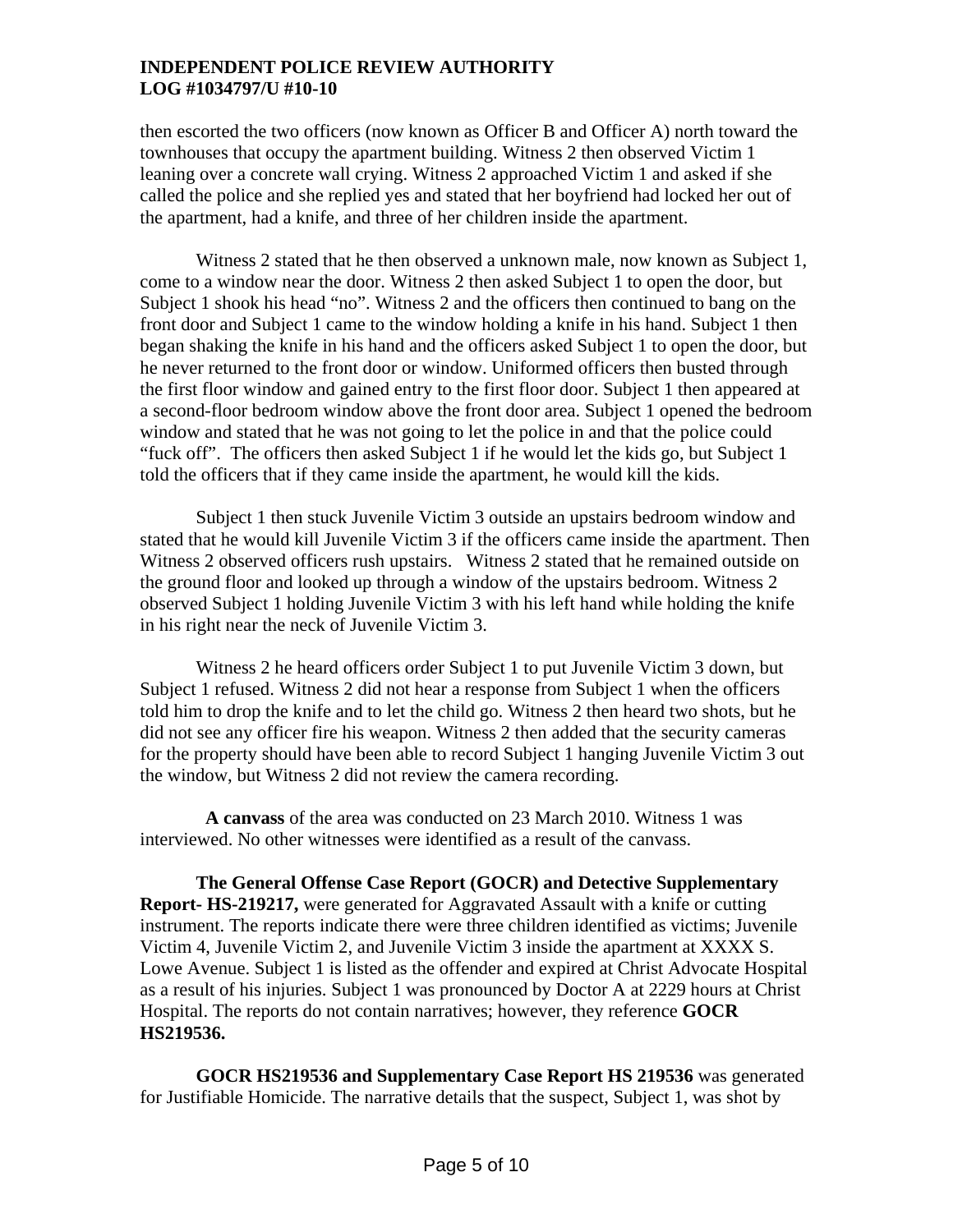then escorted the two officers (now known as Officer B and Officer A) north toward the townhouses that occupy the apartment building. Witness 2 then observed Victim 1 leaning over a concrete wall crying. Witness 2 approached Victim 1 and asked if she called the police and she replied yes and stated that her boyfriend had locked her out of the apartment, had a knife, and three of her children inside the apartment.

Witness 2 stated that he then observed a unknown male, now known as Subject 1, come to a window near the door. Witness 2 then asked Subject 1 to open the door, but Subject 1 shook his head "no". Witness 2 and the officers then continued to bang on the front door and Subject 1 came to the window holding a knife in his hand. Subject 1 then began shaking the knife in his hand and the officers asked Subject 1 to open the door, but he never returned to the front door or window. Uniformed officers then busted through the first floor window and gained entry to the first floor door. Subject 1 then appeared at a second-floor bedroom window above the front door area. Subject 1 opened the bedroom window and stated that he was not going to let the police in and that the police could "fuck off". The officers then asked Subject 1 if he would let the kids go, but Subject 1 told the officers that if they came inside the apartment, he would kill the kids.

Subject 1 then stuck Juvenile Victim 3 outside an upstairs bedroom window and stated that he would kill Juvenile Victim 3 if the officers came inside the apartment. Then Witness 2 observed officers rush upstairs. Witness 2 stated that he remained outside on the ground floor and looked up through a window of the upstairs bedroom. Witness 2 observed Subject 1 holding Juvenile Victim 3 with his left hand while holding the knife in his right near the neck of Juvenile Victim 3.

Witness 2 he heard officers order Subject 1 to put Juvenile Victim 3 down, but Subject 1 refused. Witness 2 did not hear a response from Subject 1 when the officers told him to drop the knife and to let the child go. Witness 2 then heard two shots, but he did not see any officer fire his weapon. Witness 2 then added that the security cameras for the property should have been able to record Subject 1 hanging Juvenile Victim 3 out the window, but Witness 2 did not review the camera recording.

 **A canvass** of the area was conducted on 23 March 2010. Witness 1 was interviewed. No other witnesses were identified as a result of the canvass.

**The General Offense Case Report (GOCR) and Detective Supplementary Report- HS-219217,** were generated for Aggravated Assault with a knife or cutting instrument. The reports indicate there were three children identified as victims; Juvenile Victim 4, Juvenile Victim 2, and Juvenile Victim 3 inside the apartment at XXXX S. Lowe Avenue. Subject 1 is listed as the offender and expired at Christ Advocate Hospital as a result of his injuries. Subject 1 was pronounced by Doctor A at 2229 hours at Christ Hospital. The reports do not contain narratives; however, they reference **GOCR HS219536.** 

**GOCR HS219536 and Supplementary Case Report HS 219536** was generated for Justifiable Homicide. The narrative details that the suspect, Subject 1, was shot by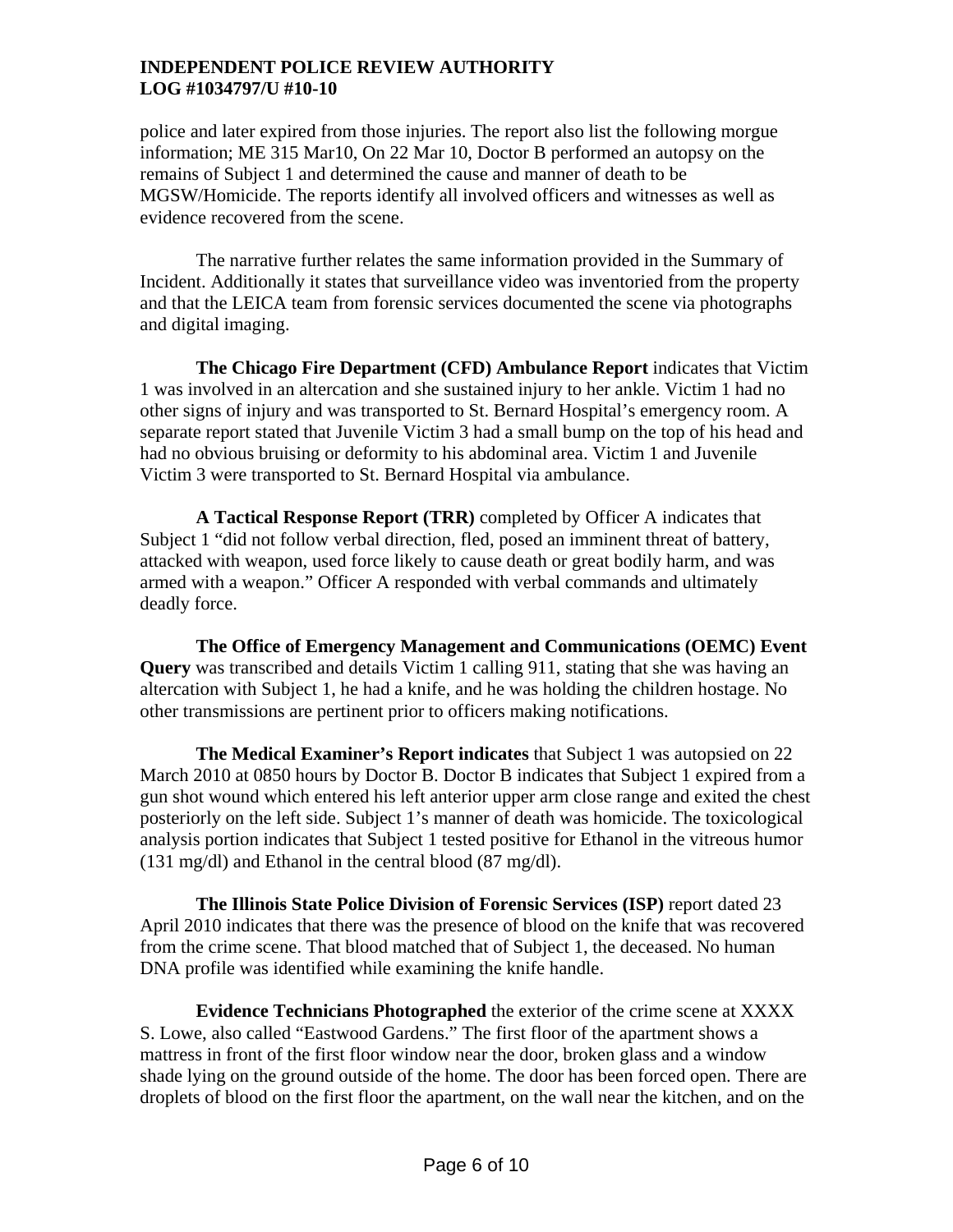police and later expired from those injuries. The report also list the following morgue information; ME 315 Mar10, On 22 Mar 10, Doctor B performed an autopsy on the remains of Subject 1 and determined the cause and manner of death to be MGSW/Homicide. The reports identify all involved officers and witnesses as well as evidence recovered from the scene.

 The narrative further relates the same information provided in the Summary of Incident. Additionally it states that surveillance video was inventoried from the property and that the LEICA team from forensic services documented the scene via photographs and digital imaging.

**The Chicago Fire Department (CFD) Ambulance Report** indicates that Victim 1 was involved in an altercation and she sustained injury to her ankle. Victim 1 had no other signs of injury and was transported to St. Bernard Hospital's emergency room. A separate report stated that Juvenile Victim 3 had a small bump on the top of his head and had no obvious bruising or deformity to his abdominal area. Victim 1 and Juvenile Victim 3 were transported to St. Bernard Hospital via ambulance.

**A Tactical Response Report (TRR)** completed by Officer A indicates that Subject 1 "did not follow verbal direction, fled, posed an imminent threat of battery, attacked with weapon, used force likely to cause death or great bodily harm, and was armed with a weapon." Officer A responded with verbal commands and ultimately deadly force.

**The Office of Emergency Management and Communications (OEMC) Event Query** was transcribed and details Victim 1 calling 911, stating that she was having an altercation with Subject 1, he had a knife, and he was holding the children hostage. No other transmissions are pertinent prior to officers making notifications.

**The Medical Examiner's Report indicates** that Subject 1 was autopsied on 22 March 2010 at 0850 hours by Doctor B. Doctor B indicates that Subject 1 expired from a gun shot wound which entered his left anterior upper arm close range and exited the chest posteriorly on the left side. Subject 1's manner of death was homicide. The toxicological analysis portion indicates that Subject 1 tested positive for Ethanol in the vitreous humor (131 mg/dl) and Ethanol in the central blood (87 mg/dl).

**The Illinois State Police Division of Forensic Services (ISP)** report dated 23 April 2010 indicates that there was the presence of blood on the knife that was recovered from the crime scene. That blood matched that of Subject 1, the deceased. No human DNA profile was identified while examining the knife handle.

**Evidence Technicians Photographed** the exterior of the crime scene at XXXX S. Lowe, also called "Eastwood Gardens." The first floor of the apartment shows a mattress in front of the first floor window near the door, broken glass and a window shade lying on the ground outside of the home. The door has been forced open. There are droplets of blood on the first floor the apartment, on the wall near the kitchen, and on the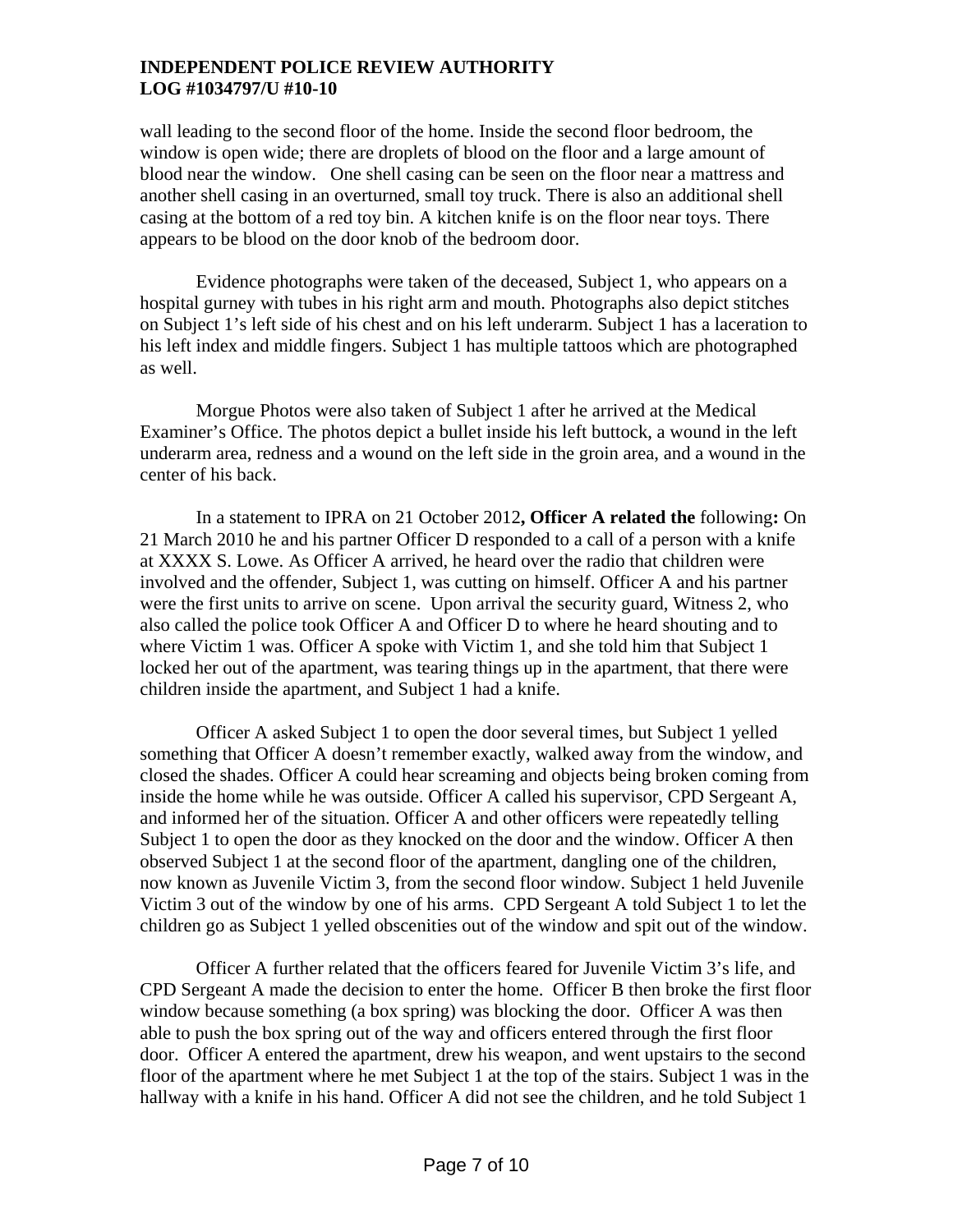wall leading to the second floor of the home. Inside the second floor bedroom, the window is open wide; there are droplets of blood on the floor and a large amount of blood near the window. One shell casing can be seen on the floor near a mattress and another shell casing in an overturned, small toy truck. There is also an additional shell casing at the bottom of a red toy bin. A kitchen knife is on the floor near toys. There appears to be blood on the door knob of the bedroom door.

Evidence photographs were taken of the deceased, Subject 1, who appears on a hospital gurney with tubes in his right arm and mouth. Photographs also depict stitches on Subject 1's left side of his chest and on his left underarm. Subject 1 has a laceration to his left index and middle fingers. Subject 1 has multiple tattoos which are photographed as well.

 Morgue Photos were also taken of Subject 1 after he arrived at the Medical Examiner's Office. The photos depict a bullet inside his left buttock, a wound in the left underarm area, redness and a wound on the left side in the groin area, and a wound in the center of his back.

In a statement to IPRA on 21 October 2012**, Officer A related the** following**:** On 21 March 2010 he and his partner Officer D responded to a call of a person with a knife at XXXX S. Lowe. As Officer A arrived, he heard over the radio that children were involved and the offender, Subject 1, was cutting on himself. Officer A and his partner were the first units to arrive on scene. Upon arrival the security guard, Witness 2, who also called the police took Officer A and Officer D to where he heard shouting and to where Victim 1 was. Officer A spoke with Victim 1, and she told him that Subject 1 locked her out of the apartment, was tearing things up in the apartment, that there were children inside the apartment, and Subject 1 had a knife.

Officer A asked Subject 1 to open the door several times, but Subject 1 yelled something that Officer A doesn't remember exactly, walked away from the window, and closed the shades. Officer A could hear screaming and objects being broken coming from inside the home while he was outside. Officer A called his supervisor, CPD Sergeant A, and informed her of the situation. Officer A and other officers were repeatedly telling Subject 1 to open the door as they knocked on the door and the window. Officer A then observed Subject 1 at the second floor of the apartment, dangling one of the children, now known as Juvenile Victim 3, from the second floor window. Subject 1 held Juvenile Victim 3 out of the window by one of his arms. CPD Sergeant A told Subject 1 to let the children go as Subject 1 yelled obscenities out of the window and spit out of the window.

Officer A further related that the officers feared for Juvenile Victim 3's life, and CPD Sergeant A made the decision to enter the home. Officer B then broke the first floor window because something (a box spring) was blocking the door. Officer A was then able to push the box spring out of the way and officers entered through the first floor door. Officer A entered the apartment, drew his weapon, and went upstairs to the second floor of the apartment where he met Subject 1 at the top of the stairs. Subject 1 was in the hallway with a knife in his hand. Officer A did not see the children, and he told Subject 1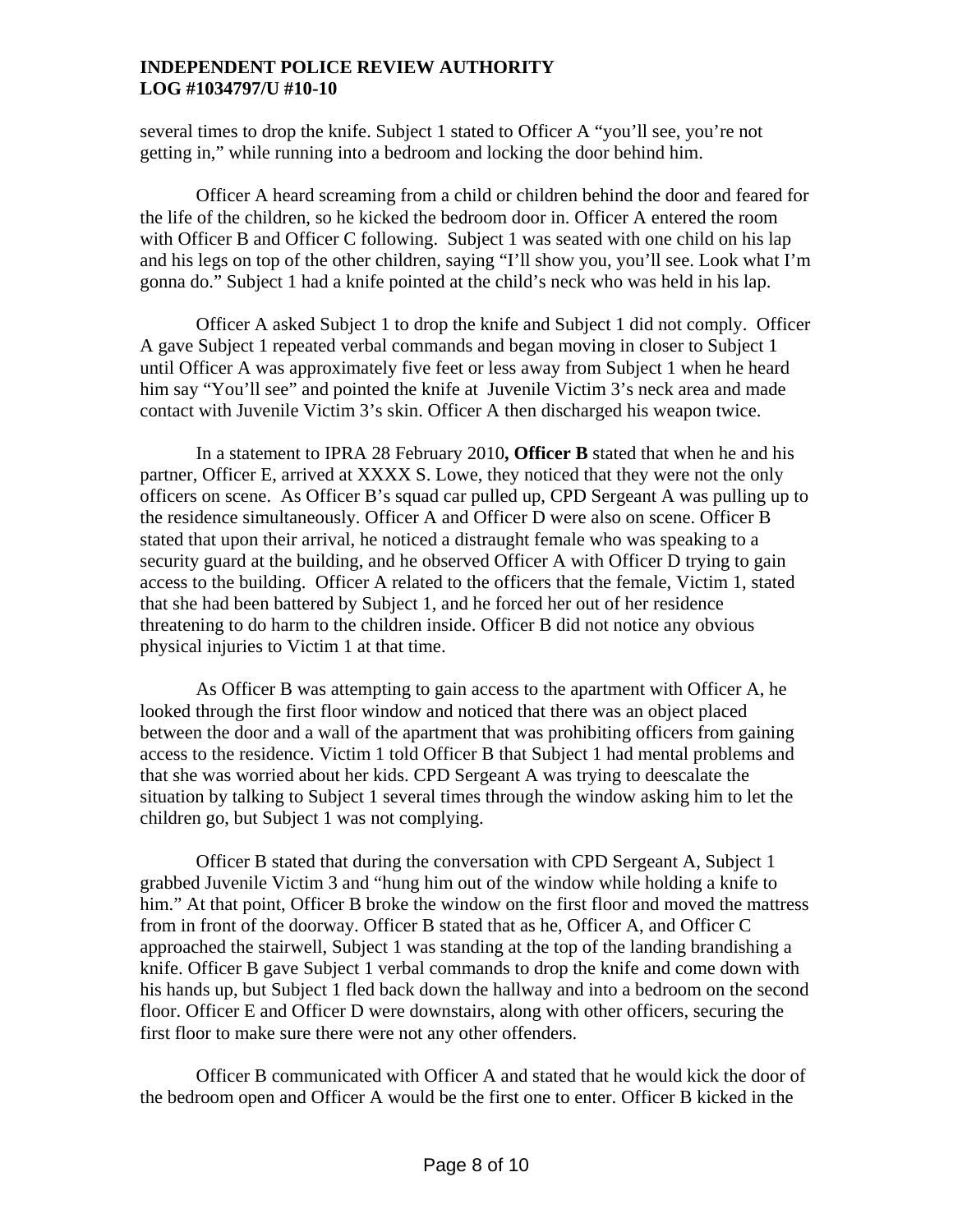several times to drop the knife. Subject 1 stated to Officer A "you'll see, you're not getting in," while running into a bedroom and locking the door behind him.

Officer A heard screaming from a child or children behind the door and feared for the life of the children, so he kicked the bedroom door in. Officer A entered the room with Officer B and Officer C following. Subject 1 was seated with one child on his lap and his legs on top of the other children, saying "I'll show you, you'll see. Look what I'm gonna do." Subject 1 had a knife pointed at the child's neck who was held in his lap.

Officer A asked Subject 1 to drop the knife and Subject 1 did not comply. Officer A gave Subject 1 repeated verbal commands and began moving in closer to Subject 1 until Officer A was approximately five feet or less away from Subject 1 when he heard him say "You'll see" and pointed the knife at Juvenile Victim 3's neck area and made contact with Juvenile Victim 3's skin. Officer A then discharged his weapon twice.

In a statement to IPRA 28 February 2010**, Officer B** stated that when he and his partner, Officer E, arrived at XXXX S. Lowe, they noticed that they were not the only officers on scene. As Officer B's squad car pulled up, CPD Sergeant A was pulling up to the residence simultaneously. Officer A and Officer D were also on scene. Officer B stated that upon their arrival, he noticed a distraught female who was speaking to a security guard at the building, and he observed Officer A with Officer D trying to gain access to the building. Officer A related to the officers that the female, Victim 1, stated that she had been battered by Subject 1, and he forced her out of her residence threatening to do harm to the children inside. Officer B did not notice any obvious physical injuries to Victim 1 at that time.

As Officer B was attempting to gain access to the apartment with Officer A, he looked through the first floor window and noticed that there was an object placed between the door and a wall of the apartment that was prohibiting officers from gaining access to the residence. Victim 1 told Officer B that Subject 1 had mental problems and that she was worried about her kids. CPD Sergeant A was trying to deescalate the situation by talking to Subject 1 several times through the window asking him to let the children go, but Subject 1 was not complying.

Officer B stated that during the conversation with CPD Sergeant A, Subject 1 grabbed Juvenile Victim 3 and "hung him out of the window while holding a knife to him." At that point, Officer B broke the window on the first floor and moved the mattress from in front of the doorway. Officer B stated that as he, Officer A, and Officer C approached the stairwell, Subject 1 was standing at the top of the landing brandishing a knife. Officer B gave Subject 1 verbal commands to drop the knife and come down with his hands up, but Subject 1 fled back down the hallway and into a bedroom on the second floor. Officer E and Officer D were downstairs, along with other officers, securing the first floor to make sure there were not any other offenders.

Officer B communicated with Officer A and stated that he would kick the door of the bedroom open and Officer A would be the first one to enter. Officer B kicked in the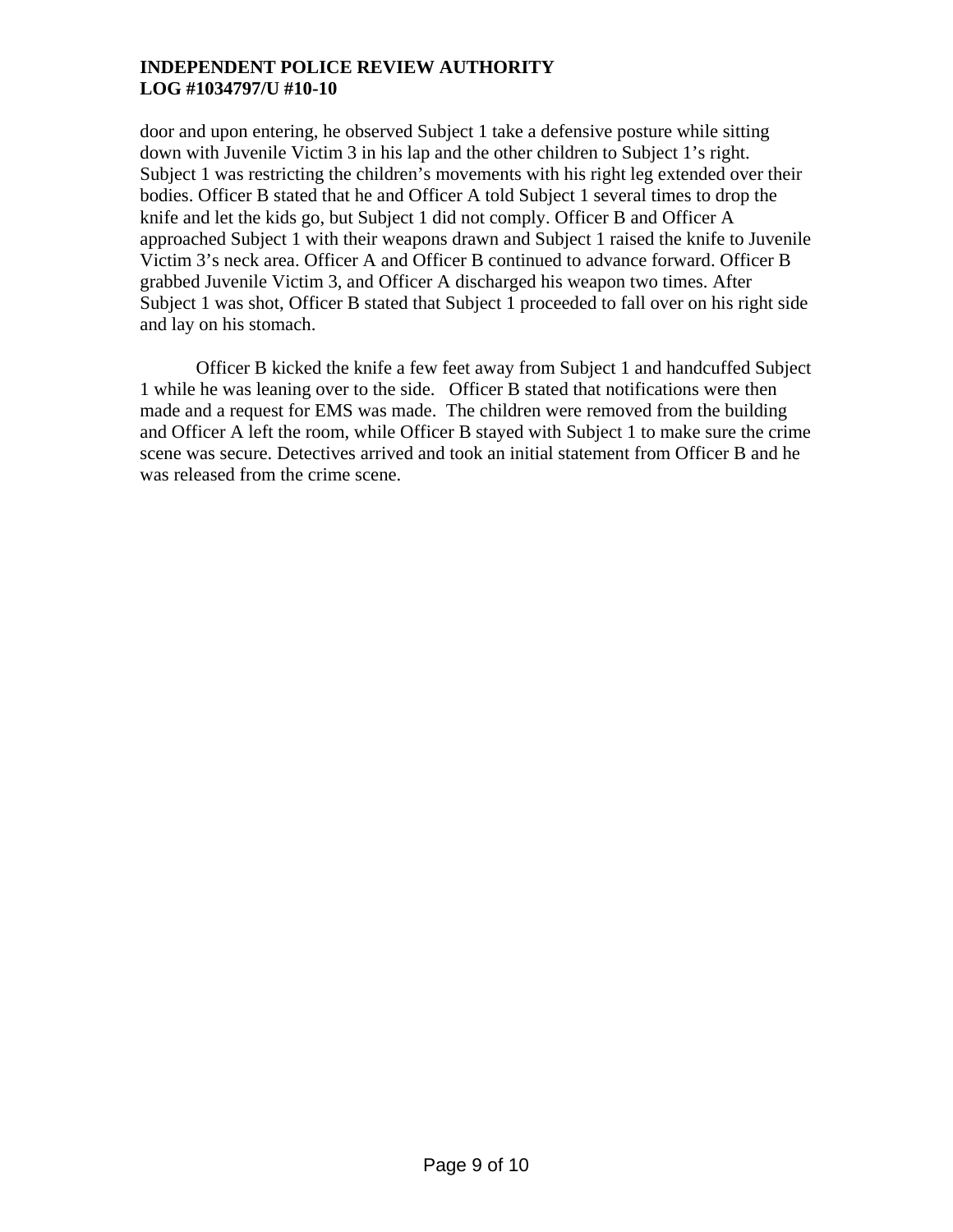door and upon entering, he observed Subject 1 take a defensive posture while sitting down with Juvenile Victim 3 in his lap and the other children to Subject 1's right. Subject 1 was restricting the children's movements with his right leg extended over their bodies. Officer B stated that he and Officer A told Subject 1 several times to drop the knife and let the kids go, but Subject 1 did not comply. Officer B and Officer A approached Subject 1 with their weapons drawn and Subject 1 raised the knife to Juvenile Victim 3's neck area. Officer A and Officer B continued to advance forward. Officer B grabbed Juvenile Victim 3, and Officer A discharged his weapon two times. After Subject 1 was shot, Officer B stated that Subject 1 proceeded to fall over on his right side and lay on his stomach.

Officer B kicked the knife a few feet away from Subject 1 and handcuffed Subject 1 while he was leaning over to the side. Officer B stated that notifications were then made and a request for EMS was made. The children were removed from the building and Officer A left the room, while Officer B stayed with Subject 1 to make sure the crime scene was secure. Detectives arrived and took an initial statement from Officer B and he was released from the crime scene.